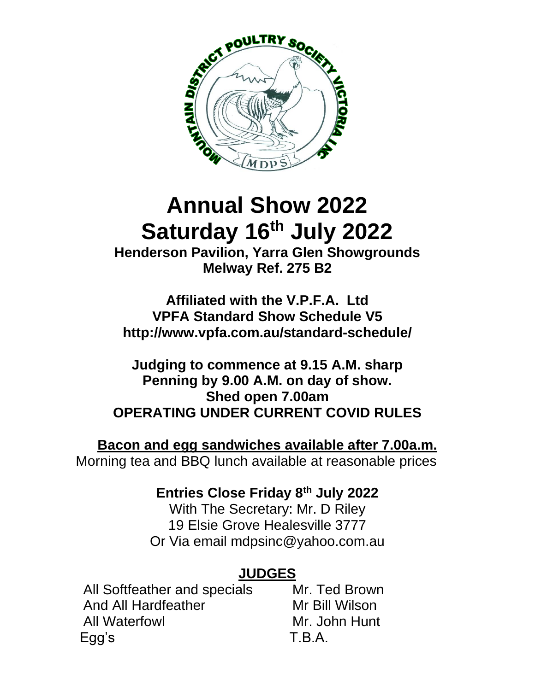

# **Annual Show 2022 Saturday 16th July 2022**

**Henderson Pavilion, Yarra Glen Showgrounds Melway Ref. 275 B2**

**Affiliated with the V.P.F.A. Ltd VPFA Standard Show Schedule V5 http://www.vpfa.com.au/standard-schedule/**

**Judging to commence at 9.15 A.M. sharp Penning by 9.00 A.M. on day of show. Shed open 7.00am OPERATING UNDER CURRENT COVID RULES**

**Bacon and egg sandwiches available after 7.00a.m.** Morning tea and BBQ lunch available at reasonable prices

### **Entries Close Friday 8th July 2022**

With The Secretary: Mr. D Riley 19 Elsie Grove Healesville 3777 Or Via email mdpsinc@yahoo.com.au

### **JUDGES**

All Softfeather and specials Mr. Ted Brown And All Hardfeather Mr Bill Wilson All Waterfowl **Mr. John Hunt** Egg's T.B.A.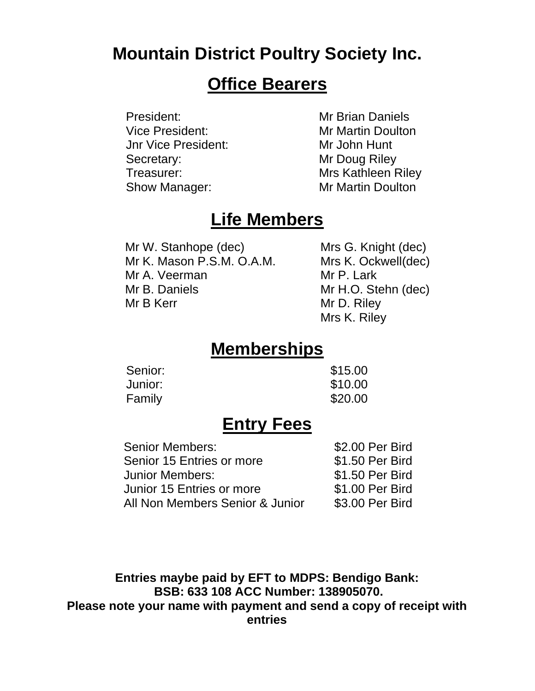### **Mountain District Poultry Society Inc.**

### **Office Bearers**

President: Mr Brian Daniels Vice President: MrMartin Doulton Jnr Vice President: MrJohn Hunt Secretary: Mr Doug Riley Treasurer: Mrs Kathleen Riley Show Manager: Mr Martin Doulton

### **Life Members**

Mr W. Stanhope (dec) Mrs G. Knight (dec) Mr K. Mason P.S.M. O.A.M. Mrs K. Ockwell(dec) Mr A. Veerman Mr P. Lark Mr B. Daniels Mr H.O. Stehn (dec) Mr B Kerr Mr D. Riley

Mrs K. Riley

### **Memberships**

| Senior: | \$15.00 |
|---------|---------|
| Junior: | \$10.00 |
| Family  | \$20.00 |

### **Entry Fees**

| Senior Members:                 | \$2.00 Per Bird |
|---------------------------------|-----------------|
| Senior 15 Entries or more       | \$1.50 Per Bird |
| Junior Members:                 | \$1.50 Per Bird |
| Junior 15 Entries or more       | \$1.00 Per Bird |
| All Non Members Senior & Junior | \$3.00 Per Bird |

**Entries maybe paid by EFT to MDPS: Bendigo Bank: BSB: 633 108 ACC Number: 138905070. Please note your name with payment and send a copy of receipt with entries**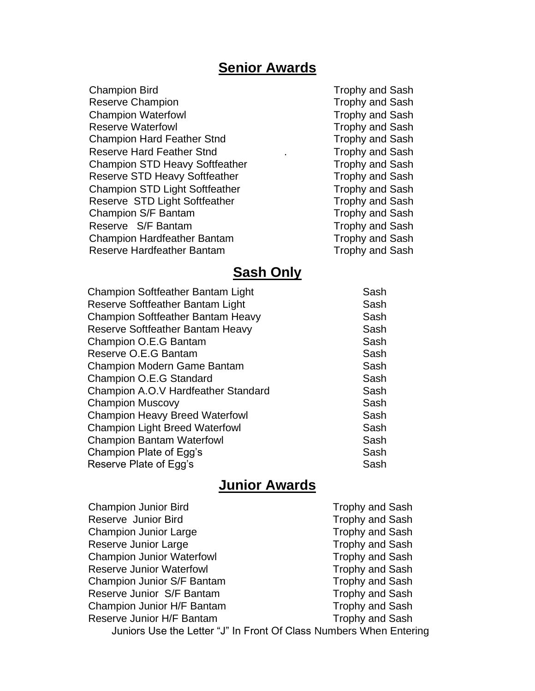#### **Senior Awards**

Champion Bird **Trophy** and Sash Reserve Champion Trophy and Sash Champion Waterfowl **Trophy** and Sash Reserve Waterfowl **Trophy and Sash** Champion Hard Feather Stnd Trophy and Sash Reserve Hard Feather Stnd **Example 20** Frophy and Sash Champion STD Heavy Softfeather Trophy and Sash Reserve STD Heavy Softfeather Trophy and Sash Champion STD Light Softfeather Trophy and Sash Reserve STD Light Softfeather Trophy and Sash Champion S/F Bantam Trophy and Sash Reserve S/F Bantam Trophy and Sash Champion Hardfeather Bantam Trophy and Sash Reserve Hardfeather Bantam Trophy and Sash

#### **Sash Only**

| <b>Champion Softfeather Bantam Light</b> | Sash |
|------------------------------------------|------|
| Reserve Softfeather Bantam Light         | Sash |
| <b>Champion Softfeather Bantam Heavy</b> | Sash |
| Reserve Softfeather Bantam Heavy         | Sash |
| Champion O.E.G Bantam                    | Sash |
| Reserve O.E.G Bantam                     | Sash |
| <b>Champion Modern Game Bantam</b>       | Sash |
| Champion O.E.G Standard                  | Sash |
| Champion A.O.V Hardfeather Standard      | Sash |
| <b>Champion Muscovy</b>                  | Sash |
| <b>Champion Heavy Breed Waterfowl</b>    | Sash |
| <b>Champion Light Breed Waterfowl</b>    | Sash |
| <b>Champion Bantam Waterfowl</b>         | Sash |
| Champion Plate of Egg's                  | Sash |
| Reserve Plate of Egg's                   | Sash |

#### **Junior Awards**

| <b>Champion Junior Bird</b>                                        | <b>Trophy and Sash</b> |
|--------------------------------------------------------------------|------------------------|
| Reserve Junior Bird                                                | <b>Trophy and Sash</b> |
| <b>Champion Junior Large</b>                                       | <b>Trophy and Sash</b> |
| Reserve Junior Large                                               | <b>Trophy and Sash</b> |
| <b>Champion Junior Waterfowl</b>                                   | <b>Trophy and Sash</b> |
| <b>Reserve Junior Waterfowl</b>                                    | <b>Trophy and Sash</b> |
| Champion Junior S/F Bantam                                         | <b>Trophy and Sash</b> |
| Reserve Junior S/F Bantam                                          | <b>Trophy and Sash</b> |
| Champion Junior H/F Bantam                                         | <b>Trophy and Sash</b> |
| Reserve Junior H/F Bantam                                          | <b>Trophy and Sash</b> |
| Juniors Use the Letter "J" In Front Of Class Numbers When Entering |                        |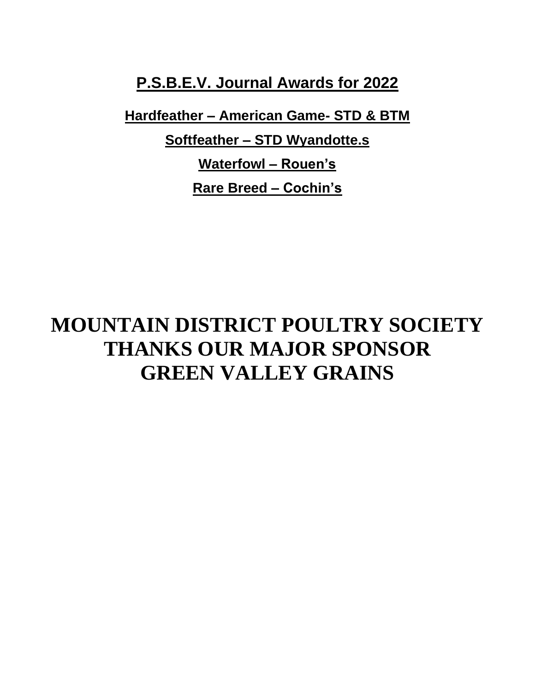**P.S.B.E.V. Journal Awards for 2022**

**Hardfeather – American Game- STD & BTM**

**Softfeather – STD Wyandotte.s**

**Waterfowl – Rouen's Rare Breed – Cochin's**

## **MOUNTAIN DISTRICT POULTRY SOCIETY THANKS OUR MAJOR SPONSOR GREEN VALLEY GRAINS**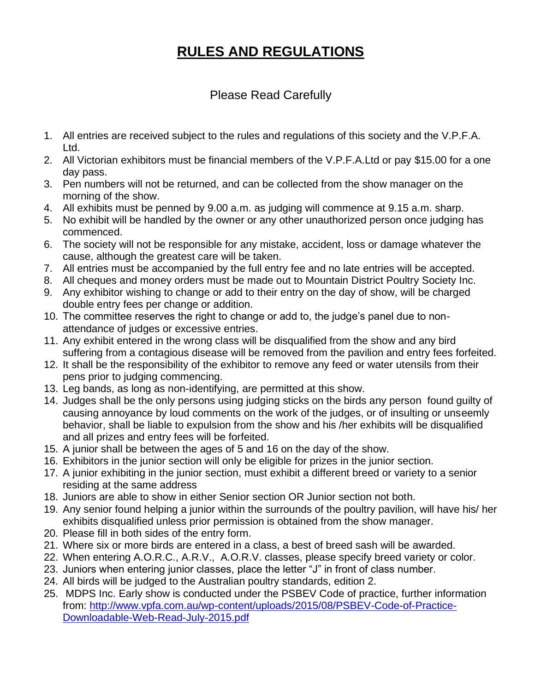### **RULES AND REGULATIONS**

#### Please Read Carefully

- 1. All entries are received subject to the rules and regulations of this society and the V.P.F.A. Ltd.
- 2. All Victorian exhibitors must be financial members of the V.P.F.A.Ltd or pay \$15.00 for a one day pass.
- 3. Pen numbers will not be returned, and can be collected from the show manager on the morning of the show.
- 4. All exhibits must be penned by 9.00 a.m. as judging will commence at 9.15 a.m. sharp.
- 5. No exhibit will be handled by the owner or any other unauthorized person once judging has commenced.
- 6. The society will not be responsible for any mistake, accident, loss or damage whatever the cause, although the greatest care will be taken.
- 7. All entries must be accompanied by the full entry fee and no late entries will be accepted.
- 8. All cheques and money orders must be made out to Mountain District Poultry Society Inc.
- 9. Any exhibitor wishing to change or add to their entry on the day of show, will be charged double entry fees per change or addition.
- 10. The committee reserves the right to change or add to, the judge's panel due to nonattendance of judges or excessive entries.
- 11. Any exhibit entered in the wrong class will be disqualified from the show and any bird suffering from a contagious disease will be removed from the pavilion and entry fees forfeited.
- 12. It shall be the responsibility of the exhibitor to remove any feed or water utensils from their pens prior to judging commencing.
- 13. Leg bands, as long as non-identifying, are permitted at this show.
- 14. Judges shall be the only persons using judging sticks on the birds any person found guilty of causing annoyance by loud comments on the work of the judges, or of insulting or unseemly behavior, shall be liable to expulsion from the show and his /her exhibits will be disqualified and all prizes and entry fees will be forfeited.
- 15. A junior shall be between the ages of 5 and 16 on the day of the show.
- 16. Exhibitors in the junior section will only be eligible for prizes in the junior section.
- 17. A junior exhibiting in the junior section, must exhibit a different breed or variety to a senior residing at the same address
- 18. Juniors are able to show in either Senior section OR Junior section not both.
- 19. Any senior found helping a junior within the surrounds of the poultry pavilion, will have his/ her exhibits disqualified unless prior permission is obtained from the show manager.
- 20. Please fill in both sides of the entry form.
- 21. Where six or more birds are entered in a class, a best of breed sash will be awarded.
- 22. When entering A.O.R.C., A.R.V., A.O.R.V. classes, please specify breed variety or color.
- 23. Juniors when entering junior classes, place the letter "J" in front of class number.
- 24. All birds will be judged to the Australian poultry standards, edition 2.
- 25. MDPS Inc. Early show is conducted under the PSBEV Code of practice, further information from: [http://www.vpfa.com.au/wp-content/uploads/2015/08/PSBEV-Code-of-Practice-](http://www.vpfa.com.au/wp-content/uploads/2015/08/PSBEV-Code-of-Practice-Downloadable-Web-Read-July-2015.pdf)[Downloadable-Web-Read-July-2015.pdf](http://www.vpfa.com.au/wp-content/uploads/2015/08/PSBEV-Code-of-Practice-Downloadable-Web-Read-July-2015.pdf)